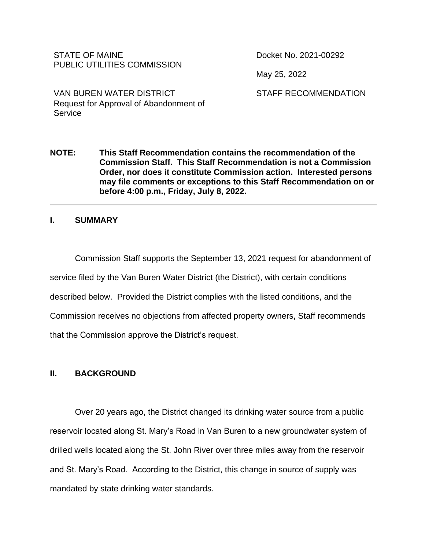### STATE OF MAINE PUBLIC UTILITIES COMMISSION

Docket No. 2021-00292

May 25, 2022

STAFF RECOMMENDATION

VAN BUREN WATER DISTRICT Request for Approval of Abandonment of **Service** 

### **NOTE: This Staff Recommendation contains the recommendation of the Commission Staff. This Staff Recommendation is not a Commission Order, nor does it constitute Commission action. Interested persons may file comments or exceptions to this Staff Recommendation on or before 4:00 p.m., Friday, July 8, 2022.**

### **I. SUMMARY**

Commission Staff supports the September 13, 2021 request for abandonment of service filed by the Van Buren Water District (the District), with certain conditions described below. Provided the District complies with the listed conditions, and the Commission receives no objections from affected property owners, Staff recommends that the Commission approve the District's request.

### **II. BACKGROUND**

Over 20 years ago, the District changed its drinking water source from a public reservoir located along St. Mary's Road in Van Buren to a new groundwater system of drilled wells located along the St. John River over three miles away from the reservoir and St. Mary's Road. According to the District, this change in source of supply was mandated by state drinking water standards.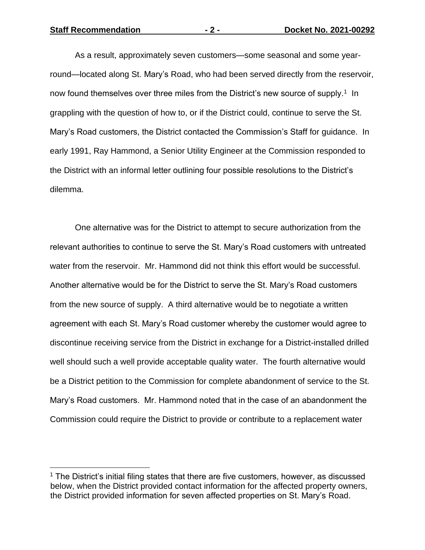**Staff Recommendation - 2 - Docket No. 2021-00292**

As a result, approximately seven customers—some seasonal and some yearround—located along St. Mary's Road, who had been served directly from the reservoir, now found themselves over three miles from the District's new source of supply.<sup>1</sup> In grappling with the question of how to, or if the District could, continue to serve the St. Mary's Road customers, the District contacted the Commission's Staff for guidance. In early 1991, Ray Hammond, a Senior Utility Engineer at the Commission responded to the District with an informal letter outlining four possible resolutions to the District's dilemma.

One alternative was for the District to attempt to secure authorization from the relevant authorities to continue to serve the St. Mary's Road customers with untreated water from the reservoir. Mr. Hammond did not think this effort would be successful. Another alternative would be for the District to serve the St. Mary's Road customers from the new source of supply. A third alternative would be to negotiate a written agreement with each St. Mary's Road customer whereby the customer would agree to discontinue receiving service from the District in exchange for a District-installed drilled well should such a well provide acceptable quality water. The fourth alternative would be a District petition to the Commission for complete abandonment of service to the St. Mary's Road customers. Mr. Hammond noted that in the case of an abandonment the Commission could require the District to provide or contribute to a replacement water

<sup>&</sup>lt;sup>1</sup> The District's initial filing states that there are five customers, however, as discussed below, when the District provided contact information for the affected property owners, the District provided information for seven affected properties on St. Mary's Road.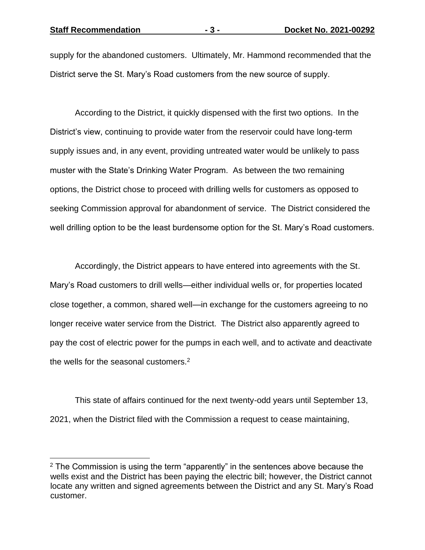supply for the abandoned customers. Ultimately, Mr. Hammond recommended that the District serve the St. Mary's Road customers from the new source of supply.

According to the District, it quickly dispensed with the first two options. In the District's view, continuing to provide water from the reservoir could have long-term supply issues and, in any event, providing untreated water would be unlikely to pass muster with the State's Drinking Water Program. As between the two remaining options, the District chose to proceed with drilling wells for customers as opposed to seeking Commission approval for abandonment of service. The District considered the well drilling option to be the least burdensome option for the St. Mary's Road customers.

Accordingly, the District appears to have entered into agreements with the St. Mary's Road customers to drill wells—either individual wells or, for properties located close together, a common, shared well—in exchange for the customers agreeing to no longer receive water service from the District. The District also apparently agreed to pay the cost of electric power for the pumps in each well, and to activate and deactivate the wells for the seasonal customers.<sup>2</sup>

This state of affairs continued for the next twenty-odd years until September 13, 2021, when the District filed with the Commission a request to cease maintaining,

 $2$  The Commission is using the term "apparently" in the sentences above because the wells exist and the District has been paying the electric bill; however, the District cannot locate any written and signed agreements between the District and any St. Mary's Road customer.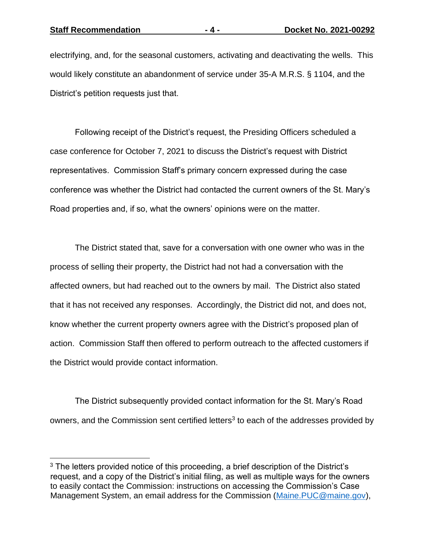electrifying, and, for the seasonal customers, activating and deactivating the wells. This would likely constitute an abandonment of service under 35-A M.R.S. § 1104, and the District's petition requests just that.

Following receipt of the District's request, the Presiding Officers scheduled a case conference for October 7, 2021 to discuss the District's request with District representatives. Commission Staff's primary concern expressed during the case conference was whether the District had contacted the current owners of the St. Mary's Road properties and, if so, what the owners' opinions were on the matter.

The District stated that, save for a conversation with one owner who was in the process of selling their property, the District had not had a conversation with the affected owners, but had reached out to the owners by mail. The District also stated that it has not received any responses. Accordingly, the District did not, and does not, know whether the current property owners agree with the District's proposed plan of action. Commission Staff then offered to perform outreach to the affected customers if the District would provide contact information.

The District subsequently provided contact information for the St. Mary's Road owners, and the Commission sent certified letters<sup>3</sup> to each of the addresses provided by

<sup>&</sup>lt;sup>3</sup> The letters provided notice of this proceeding, a brief description of the District's request, and a copy of the District's initial filing, as well as multiple ways for the owners to easily contact the Commission: instructions on accessing the Commission's Case Management System, an email address for the Commission [\(Maine.PUC@maine.gov\)](mailto:Maine.PUC@maine.gov),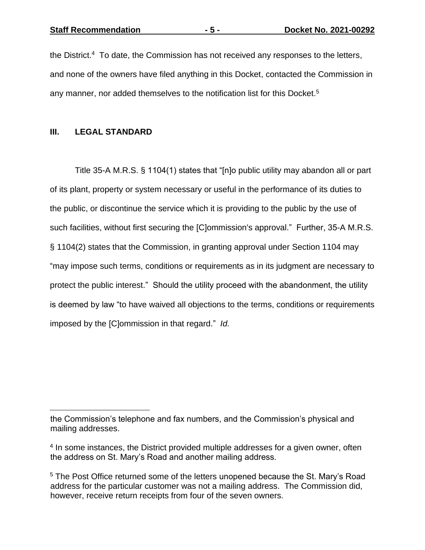**Staff Recommendation - 5 - Docket No. 2021-00292**

the District.<sup>4</sup> To date, the Commission has not received any responses to the letters, and none of the owners have filed anything in this Docket, contacted the Commission in any manner, nor added themselves to the notification list for this Docket. 5

### **III. LEGAL STANDARD**

Title 35-A M.R.S. § 1104(1) states that "[n]o public utility may abandon all or part of its plant, property or system necessary or useful in the performance of its duties to the public, or discontinue the service which it is providing to the public by the use of such facilities, without first securing the [C]ommission's approval." Further, 35-A M.R.S. § 1104(2) states that the Commission, in granting approval under Section 1104 may "may impose such terms, conditions or requirements as in its judgment are necessary to protect the public interest." Should the utility proceed with the abandonment, the utility is deemed by law "to have waived all objections to the terms, conditions or requirements imposed by the [C]ommission in that regard." *Id.*

the Commission's telephone and fax numbers, and the Commission's physical and mailing addresses.

<sup>&</sup>lt;sup>4</sup> In some instances, the District provided multiple addresses for a given owner, often the address on St. Mary's Road and another mailing address.

<sup>&</sup>lt;sup>5</sup> The Post Office returned some of the letters unopened because the St. Mary's Road address for the particular customer was not a mailing address. The Commission did, however, receive return receipts from four of the seven owners.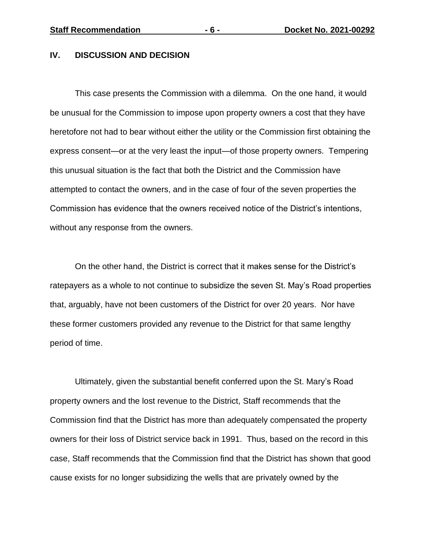#### **IV. DISCUSSION AND DECISION**

This case presents the Commission with a dilemma. On the one hand, it would be unusual for the Commission to impose upon property owners a cost that they have heretofore not had to bear without either the utility or the Commission first obtaining the express consent—or at the very least the input—of those property owners. Tempering this unusual situation is the fact that both the District and the Commission have attempted to contact the owners, and in the case of four of the seven properties the Commission has evidence that the owners received notice of the District's intentions, without any response from the owners.

On the other hand, the District is correct that it makes sense for the District's ratepayers as a whole to not continue to subsidize the seven St. May's Road properties that, arguably, have not been customers of the District for over 20 years. Nor have these former customers provided any revenue to the District for that same lengthy period of time.

Ultimately, given the substantial benefit conferred upon the St. Mary's Road property owners and the lost revenue to the District, Staff recommends that the Commission find that the District has more than adequately compensated the property owners for their loss of District service back in 1991. Thus, based on the record in this case, Staff recommends that the Commission find that the District has shown that good cause exists for no longer subsidizing the wells that are privately owned by the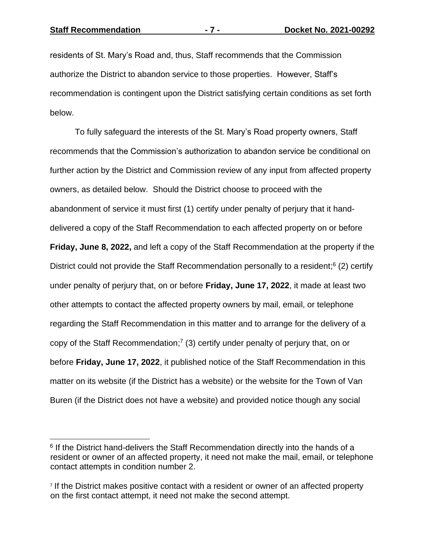residents of St. Mary's Road and, thus, Staff recommends that the Commission authorize the District to abandon service to those properties. However, Staff's recommendation is contingent upon the District satisfying certain conditions as set forth below.

To fully safeguard the interests of the St. Mary's Road property owners, Staff recommends that the Commission's authorization to abandon service be conditional on further action by the District and Commission review of any input from affected property owners, as detailed below. Should the District choose to proceed with the abandonment of service it must first (1) certify under penalty of perjury that it handdelivered a copy of the Staff Recommendation to each affected property on or before **Friday, June 8, 2022,** and left a copy of the Staff Recommendation at the property if the District could not provide the Staff Recommendation personally to a resident;<sup>6</sup> (2) certify under penalty of perjury that, on or before **Friday, June 17, 2022**, it made at least two other attempts to contact the affected property owners by mail, email, or telephone regarding the Staff Recommendation in this matter and to arrange for the delivery of a copy of the Staff Recommendation;<sup>7</sup> (3) certify under penalty of perjury that, on or before **Friday, June 17, 2022**, it published notice of the Staff Recommendation in this matter on its website (if the District has a website) or the website for the Town of Van Buren (if the District does not have a website) and provided notice though any social

<sup>&</sup>lt;sup>6</sup> If the District hand-delivers the Staff Recommendation directly into the hands of a resident or owner of an affected property, it need not make the mail, email, or telephone contact attempts in condition number 2.

<sup>&</sup>lt;sup>7</sup> If the District makes positive contact with a resident or owner of an affected property on the first contact attempt, it need not make the second attempt.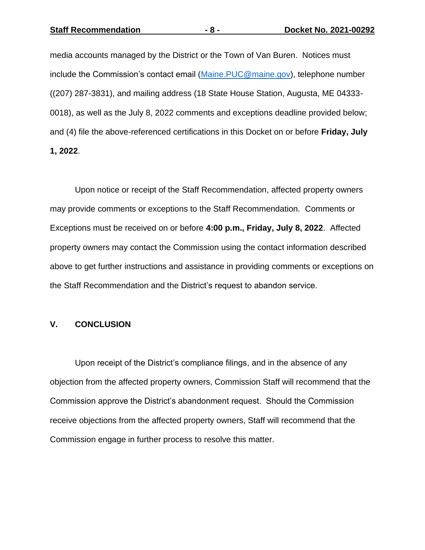media accounts managed by the District or the Town of Van Buren. Notices must include the Commission's contact email [\(Maine.PUC@maine.gov\)](mailto:Maine.PUC@maine.gov), telephone number ((207) 287-3831), and mailing address (18 State House Station, Augusta, ME 04333- 0018), as well as the July 8, 2022 comments and exceptions deadline provided below; and (4) file the above-referenced certifications in this Docket on or before **Friday, July 1, 2022**.

Upon notice or receipt of the Staff Recommendation, affected property owners may provide comments or exceptions to the Staff Recommendation. Comments or Exceptions must be received on or before **4:00 p.m., Friday, July 8, 2022**. Affected property owners may contact the Commission using the contact information described above to get further instructions and assistance in providing comments or exceptions on the Staff Recommendation and the District's request to abandon service.

#### **V. CONCLUSION**

Upon receipt of the District's compliance filings, and in the absence of any objection from the affected property owners, Commission Staff will recommend that the Commission approve the District's abandonment request. Should the Commission receive objections from the affected property owners, Staff will recommend that the Commission engage in further process to resolve this matter.